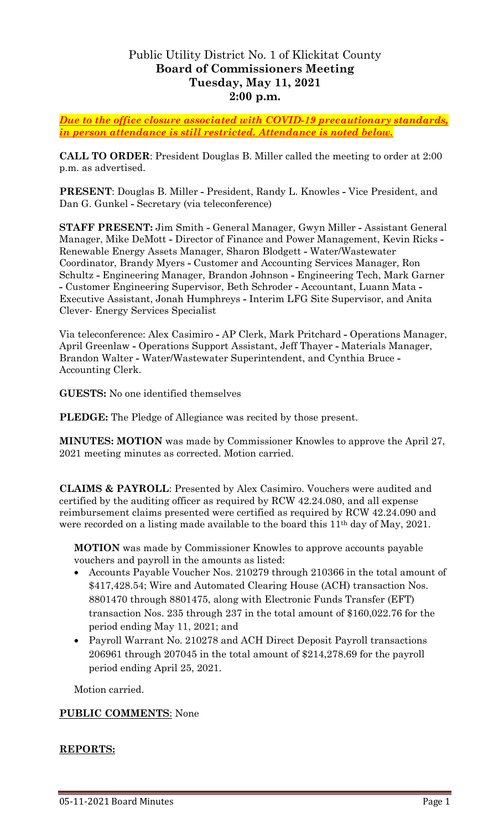# Public Utility District No. 1 of Klickitat County **Board of Commissioners Meeting Tuesday, May 11, 2021 2:00 p.m.**

*Due to the office closure associated with COVID-19 precautionary standards, in person attendance is still restricted. Attendance is noted below.*

**CALL TO ORDER**: President Douglas B. Miller called the meeting to order at 2:00 p.m. as advertised.

**PRESENT**: Douglas B. Miller **-** President, Randy L. Knowles **-** Vice President, and Dan G. Gunkel **-** Secretary (via teleconference)

**STAFF PRESENT:** Jim Smith **-** General Manager, Gwyn Miller **-** Assistant General Manager, Mike DeMott **-** Director of Finance and Power Management, Kevin Ricks **-** Renewable Energy Assets Manager, Sharon Blodgett **-** Water/Wastewater Coordinator, Brandy Myers **-** Customer and Accounting Services Manager, Ron Schultz **-** Engineering Manager, Brandon Johnson **-** Engineering Tech, Mark Garner **-** Customer Engineering Supervisor, Beth Schroder **-** Accountant, Luann Mata **-** Executive Assistant, Jonah Humphreys **-** Interim LFG Site Supervisor, and Anita Clever- Energy Services Specialist

Via teleconference: Alex Casimiro **-** AP Clerk, Mark Pritchard **-** Operations Manager, April Greenlaw **-** Operations Support Assistant, Jeff Thayer **-** Materials Manager, Brandon Walter **-** Water/Wastewater Superintendent, and Cynthia Bruce **-** Accounting Clerk.

**GUESTS:** No one identified themselves

**PLEDGE:** The Pledge of Allegiance was recited by those present.

**MINUTES: MOTION** was made by Commissioner Knowles to approve the April 27, 2021 meeting minutes as corrected. Motion carried.

**CLAIMS & PAYROLL**: Presented by Alex Casimiro. Vouchers were audited and certified by the auditing officer as required by RCW 42.24.080, and all expense reimbursement claims presented were certified as required by RCW 42.24.090 and were recorded on a listing made available to the board this 11<sup>th</sup> day of May, 2021.

**MOTION** was made by Commissioner Knowles to approve accounts payable vouchers and payroll in the amounts as listed:

- Accounts Payable Voucher Nos. 210279 through 210366 in the total amount of \$417,428.54; Wire and Automated Clearing House (ACH) transaction Nos. 8801470 through 8801475, along with Electronic Funds Transfer (EFT) transaction Nos. 235 through 237 in the total amount of \$160,022.76 for the period ending May 11, 2021; and
- Payroll Warrant No. 210278 and ACH Direct Deposit Payroll transactions 206961 through 207045 in the total amount of \$214,278.69 for the payroll period ending April 25, 2021.

Motion carried.

## **PUBLIC COMMENTS**: None

### **REPORTS:**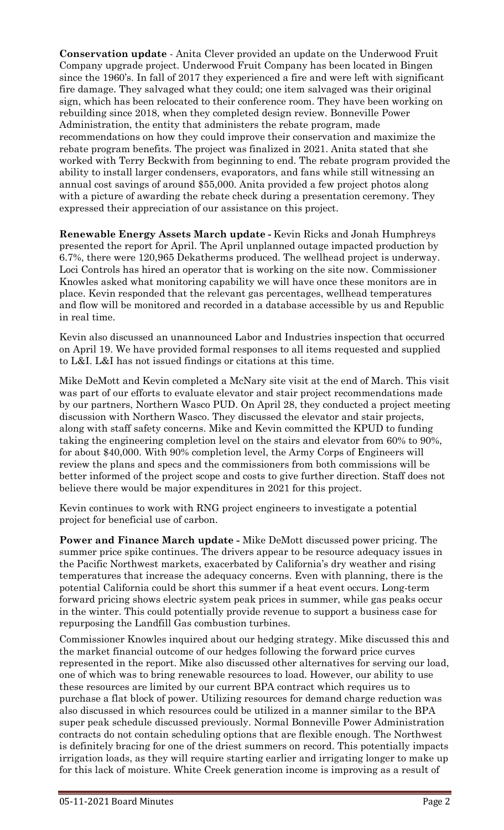**Conservation update** - Anita Clever provided an update on the Underwood Fruit Company upgrade project. Underwood Fruit Company has been located in Bingen since the 1960's. In fall of 2017 they experienced a fire and were left with significant fire damage. They salvaged what they could; one item salvaged was their original sign, which has been relocated to their conference room. They have been working on rebuilding since 2018, when they completed design review. Bonneville Power Administration, the entity that administers the rebate program, made recommendations on how they could improve their conservation and maximize the rebate program benefits. The project was finalized in 2021. Anita stated that she worked with Terry Beckwith from beginning to end. The rebate program provided the ability to install larger condensers, evaporators, and fans while still witnessing an annual cost savings of around \$55,000. Anita provided a few project photos along with a picture of awarding the rebate check during a presentation ceremony. They expressed their appreciation of our assistance on this project.

**Renewable Energy Assets March update -** Kevin Ricks and Jonah Humphreys presented the report for April. The April unplanned outage impacted production by 6.7%, there were 120,965 Dekatherms produced. The wellhead project is underway. Loci Controls has hired an operator that is working on the site now. Commissioner Knowles asked what monitoring capability we will have once these monitors are in place. Kevin responded that the relevant gas percentages, wellhead temperatures and flow will be monitored and recorded in a database accessible by us and Republic in real time.

Kevin also discussed an unannounced Labor and Industries inspection that occurred on April 19. We have provided formal responses to all items requested and supplied to L&I. L&I has not issued findings or citations at this time.

Mike DeMott and Kevin completed a McNary site visit at the end of March. This visit was part of our efforts to evaluate elevator and stair project recommendations made by our partners, Northern Wasco PUD. On April 28, they conducted a project meeting discussion with Northern Wasco. They discussed the elevator and stair projects, along with staff safety concerns. Mike and Kevin committed the KPUD to funding taking the engineering completion level on the stairs and elevator from 60% to 90%, for about \$40,000. With 90% completion level, the Army Corps of Engineers will review the plans and specs and the commissioners from both commissions will be better informed of the project scope and costs to give further direction. Staff does not believe there would be major expenditures in 2021 for this project.

Kevin continues to work with RNG project engineers to investigate a potential project for beneficial use of carbon.

**Power and Finance March update -** Mike DeMott discussed power pricing. The summer price spike continues. The drivers appear to be resource adequacy issues in the Pacific Northwest markets, exacerbated by California's dry weather and rising temperatures that increase the adequacy concerns. Even with planning, there is the potential California could be short this summer if a heat event occurs. Long-term forward pricing shows electric system peak prices in summer, while gas peaks occur in the winter. This could potentially provide revenue to support a business case for repurposing the Landfill Gas combustion turbines.

Commissioner Knowles inquired about our hedging strategy. Mike discussed this and the market financial outcome of our hedges following the forward price curves represented in the report. Mike also discussed other alternatives for serving our load, one of which was to bring renewable resources to load. However, our ability to use these resources are limited by our current BPA contract which requires us to purchase a flat block of power. Utilizing resources for demand charge reduction was also discussed in which resources could be utilized in a manner similar to the BPA super peak schedule discussed previously. Normal Bonneville Power Administration contracts do not contain scheduling options that are flexible enough. The Northwest is definitely bracing for one of the driest summers on record. This potentially impacts irrigation loads, as they will require starting earlier and irrigating longer to make up for this lack of moisture. White Creek generation income is improving as a result of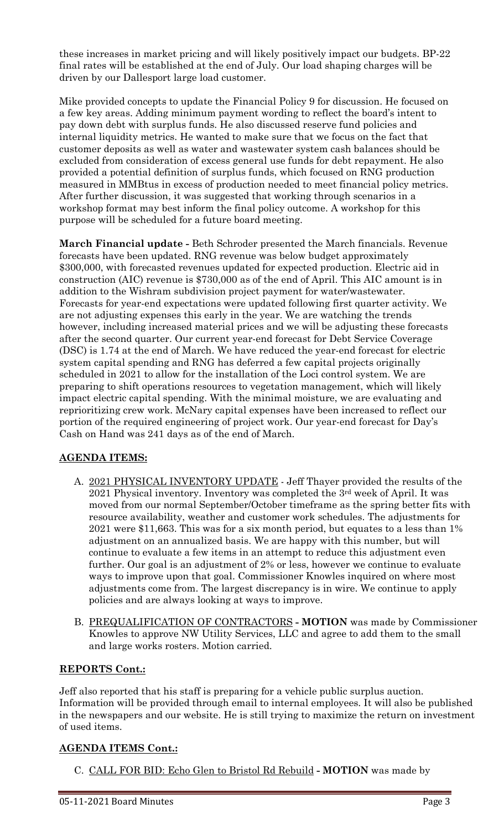these increases in market pricing and will likely positively impact our budgets. BP-22 final rates will be established at the end of July. Our load shaping charges will be driven by our Dallesport large load customer.

Mike provided concepts to update the Financial Policy 9 for discussion. He focused on a few key areas. Adding minimum payment wording to reflect the board's intent to pay down debt with surplus funds. He also discussed reserve fund policies and internal liquidity metrics. He wanted to make sure that we focus on the fact that customer deposits as well as water and wastewater system cash balances should be excluded from consideration of excess general use funds for debt repayment. He also provided a potential definition of surplus funds, which focused on RNG production measured in MMBtus in excess of production needed to meet financial policy metrics. After further discussion, it was suggested that working through scenarios in a workshop format may best inform the final policy outcome. A workshop for this purpose will be scheduled for a future board meeting.

**March Financial update -** Beth Schroder presented the March financials. Revenue forecasts have been updated. RNG revenue was below budget approximately \$300,000, with forecasted revenues updated for expected production. Electric aid in construction (AIC) revenue is \$730,000 as of the end of April. This AIC amount is in addition to the Wishram subdivision project payment for water/wastewater. Forecasts for year-end expectations were updated following first quarter activity. We are not adjusting expenses this early in the year. We are watching the trends however, including increased material prices and we will be adjusting these forecasts after the second quarter. Our current year-end forecast for Debt Service Coverage (DSC) is 1.74 at the end of March. We have reduced the year-end forecast for electric system capital spending and RNG has deferred a few capital projects originally scheduled in 2021 to allow for the installation of the Loci control system. We are preparing to shift operations resources to vegetation management, which will likely impact electric capital spending. With the minimal moisture, we are evaluating and reprioritizing crew work. McNary capital expenses have been increased to reflect our portion of the required engineering of project work. Our year-end forecast for Day's Cash on Hand was 241 days as of the end of March.

## **AGENDA ITEMS:**

- A. 2021 PHYSICAL INVENTORY UPDATE Jeff Thayer provided the results of the 2021 Physical inventory. Inventory was completed the 3rd week of April. It was moved from our normal September/October timeframe as the spring better fits with resource availability, weather and customer work schedules. The adjustments for 2021 were \$11,663. This was for a six month period, but equates to a less than 1% adjustment on an annualized basis. We are happy with this number, but will continue to evaluate a few items in an attempt to reduce this adjustment even further. Our goal is an adjustment of 2% or less, however we continue to evaluate ways to improve upon that goal. Commissioner Knowles inquired on where most adjustments come from. The largest discrepancy is in wire. We continue to apply policies and are always looking at ways to improve.
- B. PREQUALIFICATION OF CONTRACTORS **- MOTION** was made by Commissioner Knowles to approve NW Utility Services, LLC and agree to add them to the small and large works rosters. Motion carried.

## **REPORTS Cont.:**

Jeff also reported that his staff is preparing for a vehicle public surplus auction. Information will be provided through email to internal employees. It will also be published in the newspapers and our website. He is still trying to maximize the return on investment of used items.

## **AGENDA ITEMS Cont.:**

C. CALL FOR BID: Echo Glen to Bristol Rd Rebuild **- MOTION** was made by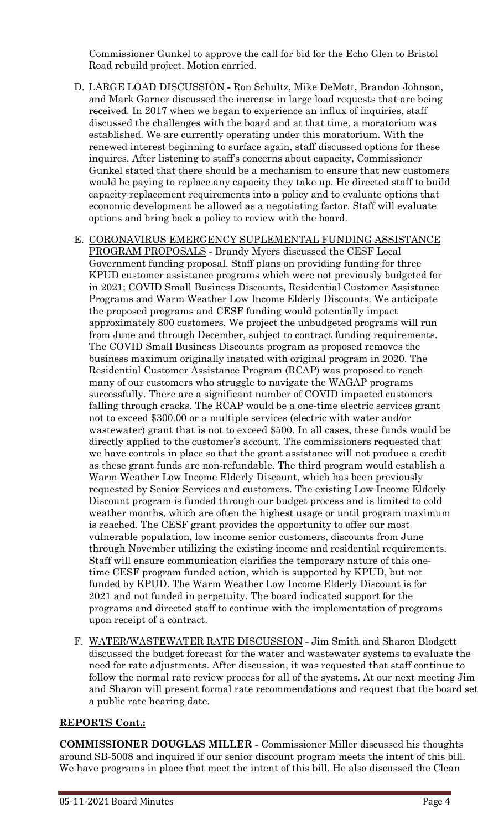Commissioner Gunkel to approve the call for bid for the Echo Glen to Bristol Road rebuild project. Motion carried.

- D. LARGE LOAD DISCUSSION **-** Ron Schultz, Mike DeMott, Brandon Johnson, and Mark Garner discussed the increase in large load requests that are being received. In 2017 when we began to experience an influx of inquiries, staff discussed the challenges with the board and at that time, a moratorium was established. We are currently operating under this moratorium. With the renewed interest beginning to surface again, staff discussed options for these inquires. After listening to staff's concerns about capacity, Commissioner Gunkel stated that there should be a mechanism to ensure that new customers would be paying to replace any capacity they take up. He directed staff to build capacity replacement requirements into a policy and to evaluate options that economic development be allowed as a negotiating factor. Staff will evaluate options and bring back a policy to review with the board.
- E. CORONAVIRUS EMERGENCY SUPLEMENTAL FUNDING ASSISTANCE PROGRAM PROPOSALS **-** Brandy Myers discussed the CESF Local Government funding proposal. Staff plans on providing funding for three KPUD customer assistance programs which were not previously budgeted for in 2021; COVID Small Business Discounts, Residential Customer Assistance Programs and Warm Weather Low Income Elderly Discounts. We anticipate the proposed programs and CESF funding would potentially impact approximately 800 customers. We project the unbudgeted programs will run from June and through December, subject to contract funding requirements. The COVID Small Business Discounts program as proposed removes the business maximum originally instated with original program in 2020. The Residential Customer Assistance Program (RCAP) was proposed to reach many of our customers who struggle to navigate the WAGAP programs successfully. There are a significant number of COVID impacted customers falling through cracks. The RCAP would be a one-time electric services grant not to exceed \$300.00 or a multiple services (electric with water and/or wastewater) grant that is not to exceed \$500. In all cases, these funds would be directly applied to the customer's account. The commissioners requested that we have controls in place so that the grant assistance will not produce a credit as these grant funds are non-refundable. The third program would establish a Warm Weather Low Income Elderly Discount, which has been previously requested by Senior Services and customers. The existing Low Income Elderly Discount program is funded through our budget process and is limited to cold weather months, which are often the highest usage or until program maximum is reached. The CESF grant provides the opportunity to offer our most vulnerable population, low income senior customers, discounts from June through November utilizing the existing income and residential requirements. Staff will ensure communication clarifies the temporary nature of this onetime CESF program funded action, which is supported by KPUD, but not funded by KPUD. The Warm Weather Low Income Elderly Discount is for 2021 and not funded in perpetuity. The board indicated support for the programs and directed staff to continue with the implementation of programs upon receipt of a contract.
- F. WATER/WASTEWATER RATE DISCUSSION **-** Jim Smith and Sharon Blodgett discussed the budget forecast for the water and wastewater systems to evaluate the need for rate adjustments. After discussion, it was requested that staff continue to follow the normal rate review process for all of the systems. At our next meeting Jim and Sharon will present formal rate recommendations and request that the board set a public rate hearing date.

### **REPORTS Cont.:**

**COMMISSIONER DOUGLAS MILLER -** Commissioner Miller discussed his thoughts around SB-5008 and inquired if our senior discount program meets the intent of this bill. We have programs in place that meet the intent of this bill. He also discussed the Clean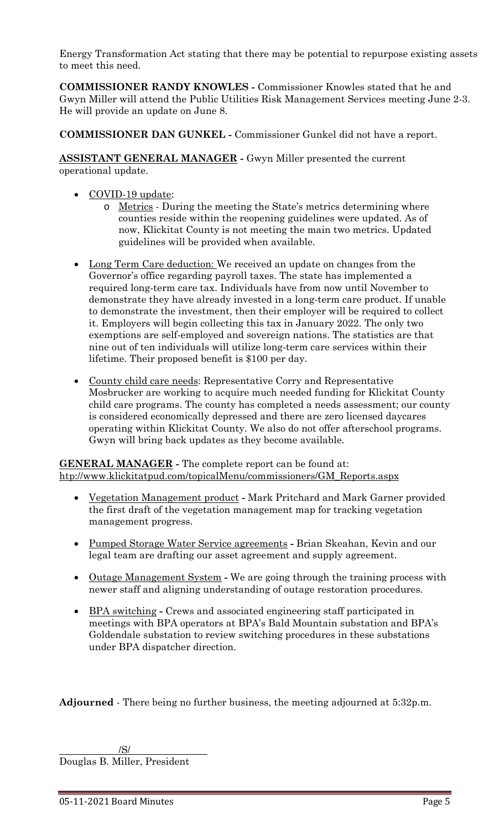Energy Transformation Act stating that there may be potential to repurpose existing assets to meet this need.

**COMMISSIONER RANDY KNOWLES -** Commissioner Knowles stated that he and Gwyn Miller will attend the Public Utilities Risk Management Services meeting June 2-3. He will provide an update on June 8.

**COMMISSIONER DAN GUNKEL -** Commissioner Gunkel did not have a report.

**ASSISTANT GENERAL MANAGER -** Gwyn Miller presented the current operational update.

- COVID-19 update:
	- o Metrics During the meeting the State's metrics determining where counties reside within the reopening guidelines were updated. As of now, Klickitat County is not meeting the main two metrics. Updated guidelines will be provided when available.
- Long Term Care deduction: We received an update on changes from the Governor's office regarding payroll taxes. The state has implemented a required long-term care tax. Individuals have from now until November to demonstrate they have already invested in a long-term care product. If unable to demonstrate the investment, then their employer will be required to collect it. Employers will begin collecting this tax in January 2022. The only two exemptions are self-employed and sovereign nations. The statistics are that nine out of ten individuals will utilize long-term care services within their lifetime. Their proposed benefit is \$100 per day.
- County child care needs: Representative Corry and Representative Mosbrucker are working to acquire much needed funding for Klickitat County child care programs. The county has completed a needs assessment; our county is considered economically depressed and there are zero licensed daycares operating within Klickitat County. We also do not offer afterschool programs. Gwyn will bring back updates as they become available.

**GENERAL MANAGER -** The complete report can be found at: [htp://www.klickitatpud.com/topicalMenu/commissioners/GM\\_Reports.aspx](http://www.klickitatpud.com/topicalMenu/commissioners/GM_Reports.aspx)

- Vegetation Management product **-** Mark Pritchard and Mark Garner provided the first draft of the vegetation management map for tracking vegetation management progress.
- Pumped Storage Water Service agreements **-** Brian Skeahan, Kevin and our legal team are drafting our asset agreement and supply agreement.
- Outage Management System **-** We are going through the training process with newer staff and aligning understanding of outage restoration procedures.
- BPA switching **-** Crews and associated engineering staff participated in meetings with BPA operators at BPA's Bald Mountain substation and BPA's Goldendale substation to review switching procedures in these substations under BPA dispatcher direction.

**Adjourned** - There being no further business, the meeting adjourned at 5:32p.m.